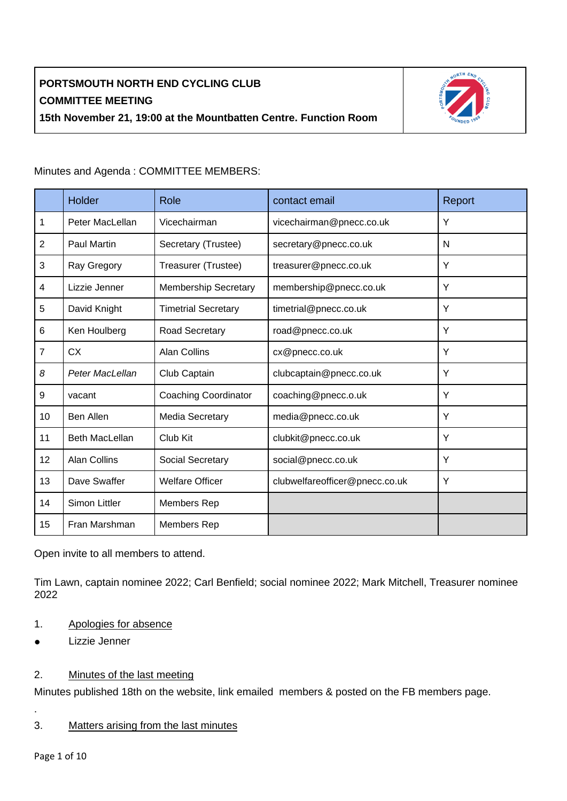

|                | Holder                | Role                        | contact email                  | Report |
|----------------|-----------------------|-----------------------------|--------------------------------|--------|
| $\mathbf{1}$   | Peter MacLellan       | Vicechairman                | vicechairman@pnecc.co.uk       | Y      |
| $\overline{2}$ | <b>Paul Martin</b>    | Secretary (Trustee)         | secretary@pnecc.co.uk          | N      |
| 3              | Ray Gregory           | Treasurer (Trustee)         | treasurer@pnecc.co.uk          | Y      |
| $\overline{4}$ | Lizzie Jenner         | <b>Membership Secretary</b> | membership@pnecc.co.uk         | Y      |
| 5              | David Knight          | <b>Timetrial Secretary</b>  | timetrial@pnecc.co.uk          | Y      |
| 6              | Ken Houlberg          | Road Secretary              | road@pnecc.co.uk               | Y      |
| $\overline{7}$ | <b>CX</b>             | <b>Alan Collins</b>         | cx@pnecc.co.uk                 | Y      |
| 8              | Peter MacLellan       | Club Captain                | clubcaptain@pnecc.co.uk        | Y      |
| 9              | vacant                | <b>Coaching Coordinator</b> | coaching@pnecc.o.uk            | Y      |
| 10             | <b>Ben Allen</b>      | Media Secretary             | media@pnecc.co.uk              | Y      |
| 11             | <b>Beth MacLellan</b> | Club Kit                    | clubkit@pnecc.co.uk            | Y      |
| 12             | <b>Alan Collins</b>   | Social Secretary            | social@pnecc.co.uk             | Y      |
| 13             | Dave Swaffer          | <b>Welfare Officer</b>      | clubwelfareofficer@pnecc.co.uk | Y      |
| 14             | Simon Littler         | Members Rep                 |                                |        |
| 15             | Fran Marshman         | Members Rep                 |                                |        |

Minutes and Agenda : COMMITTEE MEMBERS:

Open invite to all members to attend.

Tim Lawn, captain nominee 2022; Carl Benfield; social nominee 2022; Mark Mitchell, Treasurer nominee 2022

- 1. Apologies for absence
- Lizzie Jenner

### 2. Minutes of the last meeting

Minutes published 18th on the website, link emailed members & posted on the FB members page.

- .
- 3. Matters arising from the last minutes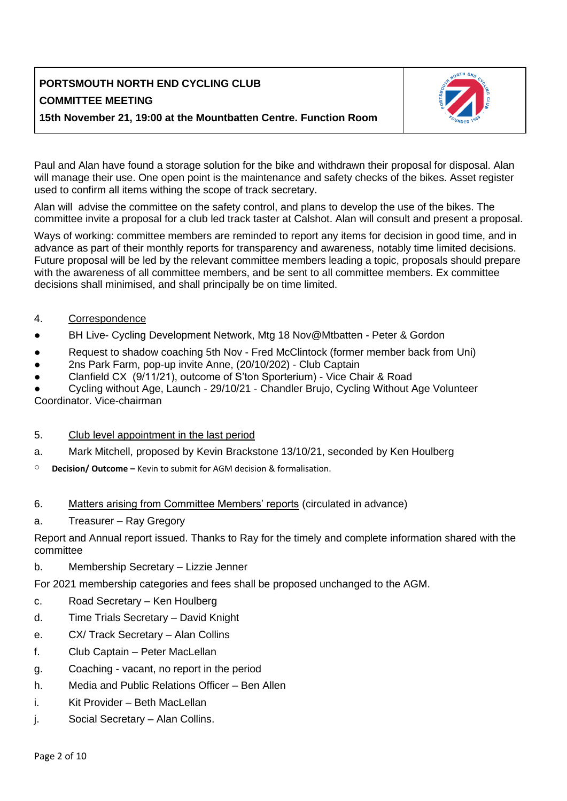

Paul and Alan have found a storage solution for the bike and withdrawn their proposal for disposal. Alan will manage their use. One open point is the maintenance and safety checks of the bikes. Asset register used to confirm all items withing the scope of track secretary.

Alan will advise the committee on the safety control, and plans to develop the use of the bikes. The committee invite a proposal for a club led track taster at Calshot. Alan will consult and present a proposal.

Ways of working: committee members are reminded to report any items for decision in good time, and in advance as part of their monthly reports for transparency and awareness, notably time limited decisions. Future proposal will be led by the relevant committee members leading a topic, proposals should prepare with the awareness of all committee members, and be sent to all committee members. Ex committee decisions shall minimised, and shall principally be on time limited.

- 4. Correspondence
- BH Live- Cycling Development Network, Mtg 18 Nov@Mtbatten Peter & Gordon
- Request to shadow coaching 5th Nov Fred McClintock (former member back from Uni)
- 2ns Park Farm, pop-up invite Anne, (20/10/202) Club Captain
- Clanfield CX (9/11/21), outcome of S'ton Sporterium) Vice Chair & Road

Cycling without Age, Launch - 29/10/21 - Chandler Brujo, Cycling Without Age Volunteer Coordinator. Vice-chairman

### 5. Club level appointment in the last period

- a. Mark Mitchell, proposed by Kevin Brackstone 13/10/21, seconded by Ken Houlberg
- **Decision/ Outcome –** Kevin to submit for AGM decision & formalisation.

### 6. Matters arising from Committee Members' reports (circulated in advance)

a. Treasurer – Ray Gregory

Report and Annual report issued. Thanks to Ray for the timely and complete information shared with the committee

b. Membership Secretary – Lizzie Jenner

For 2021 membership categories and fees shall be proposed unchanged to the AGM.

- c. Road Secretary Ken Houlberg
- d. Time Trials Secretary David Knight
- e. CX/ Track Secretary Alan Collins
- f. Club Captain Peter MacLellan
- g. Coaching vacant, no report in the period
- h. Media and Public Relations Officer Ben Allen
- i. Kit Provider Beth MacLellan
- j. Social Secretary Alan Collins.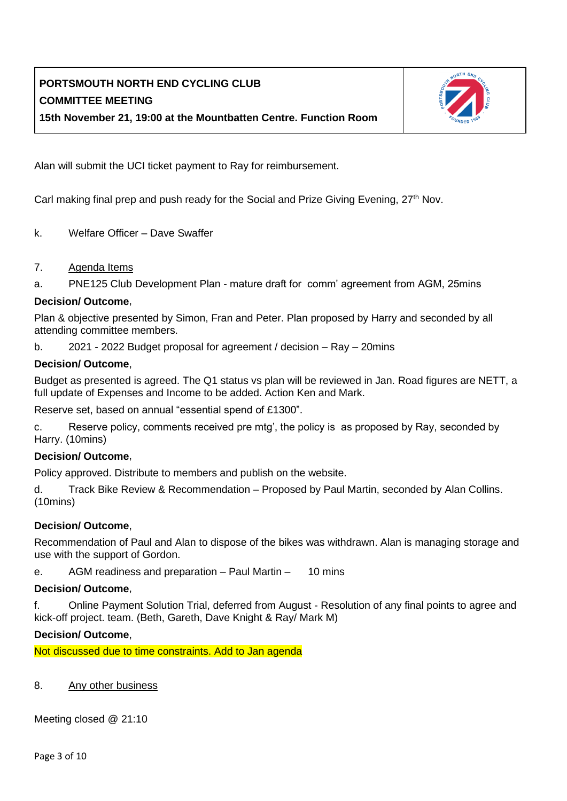

Alan will submit the UCI ticket payment to Ray for reimbursement.

Carl making final prep and push ready for the Social and Prize Giving Evening, 27<sup>th</sup> Nov.

- k. Welfare Officer Dave Swaffer
- 7. Agenda Items
- a. PNE125 Club Development Plan mature draft for comm' agreement from AGM, 25mins

#### **Decision/ Outcome**,

Plan & objective presented by Simon, Fran and Peter. Plan proposed by Harry and seconded by all attending committee members.

b. 2021 - 2022 Budget proposal for agreement / decision – Ray – 20mins

#### **Decision/ Outcome**,

Budget as presented is agreed. The Q1 status vs plan will be reviewed in Jan. Road figures are NETT, a full update of Expenses and Income to be added. Action Ken and Mark.

Reserve set, based on annual "essential spend of £1300".

c. Reserve policy, comments received pre mtg', the policy is as proposed by Ray, seconded by Harry. (10mins)

### **Decision/ Outcome**,

Policy approved. Distribute to members and publish on the website.

d. Track Bike Review & Recommendation – Proposed by Paul Martin, seconded by Alan Collins. (10mins)

### **Decision/ Outcome**,

Recommendation of Paul and Alan to dispose of the bikes was withdrawn. Alan is managing storage and use with the support of Gordon.

e. AGM readiness and preparation – Paul Martin – 10 mins

#### **Decision/ Outcome**,

f. Online Payment Solution Trial, deferred from August - Resolution of any final points to agree and kick-off project. team. (Beth, Gareth, Dave Knight & Ray/ Mark M)

#### **Decision/ Outcome**,

Not discussed due to time constraints. Add to Jan agenda

### 8. Any other business

Meeting closed @ 21:10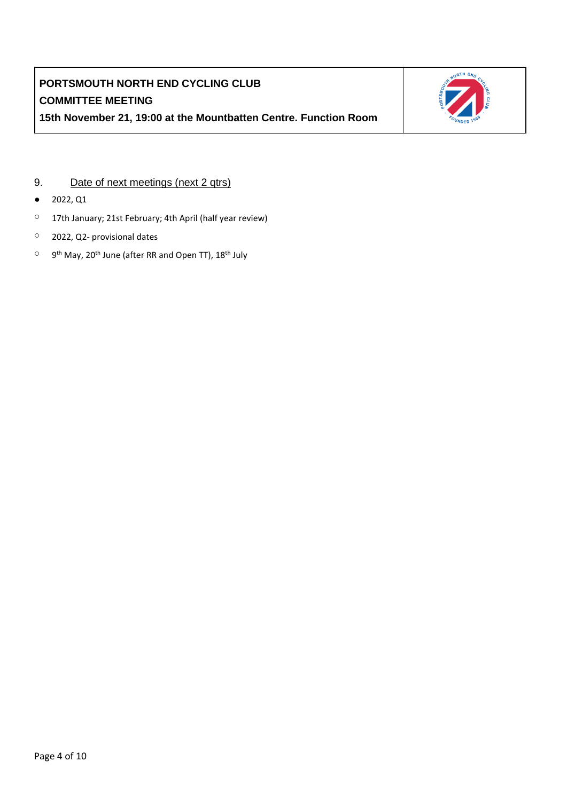

### 9. Date of next meetings (next 2 qtrs)

- 2022, Q1
- 17th January; 21st February; 4th April (half year review)
- 2022, Q2- provisional dates
- <sup>O</sup> 9<sup>th</sup> May, 20<sup>th</sup> June (after RR and Open TT), 18<sup>th</sup> July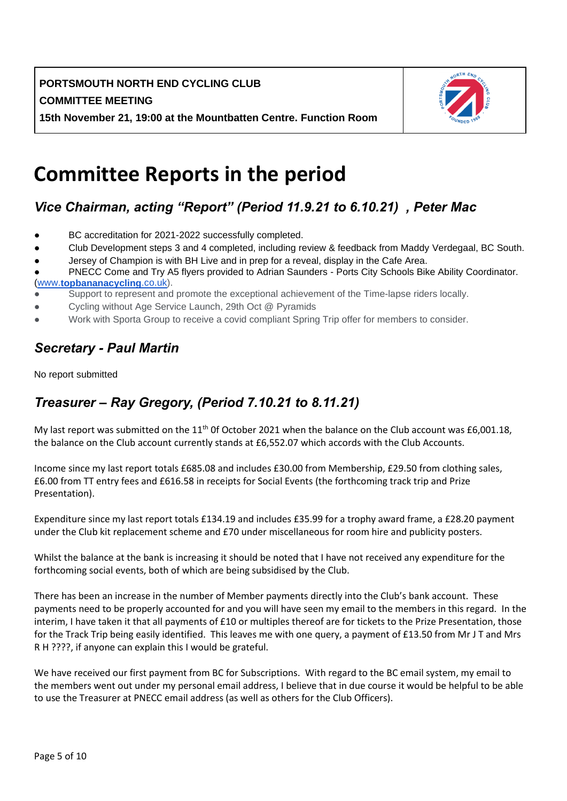

# **Committee Reports in the period**

# *Vice Chairman, acting "Report" (Period 11.9.21 to 6.10.21) , Peter Mac*

- BC accreditation for 2021-2022 successfully completed.
- Club Development steps 3 and 4 completed, including review & feedback from Maddy Verdegaal, BC South.
- Jersey of Champion is with BH Live and in prep for a reveal, display in the Cafe Area.

- Support to represent and promote the exceptional achievement of the Time-lapse riders locally.
- Cycling without Age Service Launch, 29th Oct @ Pyramids
- Work with Sporta Group to receive a covid compliant Spring Trip offer for members to consider.

# *Secretary - Paul Martin*

No report submitted

# *Treasurer – Ray Gregory, (Period 7.10.21 to 8.11.21)*

My last report was submitted on the 11<sup>th</sup> 0f October 2021 when the balance on the Club account was £6,001.18, the balance on the Club account currently stands at £6,552.07 which accords with the Club Accounts.

Income since my last report totals £685.08 and includes £30.00 from Membership, £29.50 from clothing sales, £6.00 from TT entry fees and £616.58 in receipts for Social Events (the forthcoming track trip and Prize Presentation).

Expenditure since my last report totals £134.19 and includes £35.99 for a trophy award frame, a £28.20 payment under the Club kit replacement scheme and £70 under miscellaneous for room hire and publicity posters.

Whilst the balance at the bank is increasing it should be noted that I have not received any expenditure for the forthcoming social events, both of which are being subsidised by the Club.

There has been an increase in the number of Member payments directly into the Club's bank account. These payments need to be properly accounted for and you will have seen my email to the members in this regard. In the interim, I have taken it that all payments of £10 or multiples thereof are for tickets to the Prize Presentation, those for the Track Trip being easily identified. This leaves me with one query, a payment of £13.50 from Mr J T and Mrs R H ????, if anyone can explain this I would be grateful.

We have received our first payment from BC for Subscriptions. With regard to the BC email system, my email to the members went out under my personal email address, I believe that in due course it would be helpful to be able to use the Treasurer at PNECC email address (as well as others for the Club Officers).

PNECC Come and Try A5 flyers provided to Adrian Saunders - Ports City Schools Bike Ability Coordinator. [\(www.](http://www.topbananacycling.co.uk/)**[topbananacycling](http://www.topbananacycling.co.uk/)**[.co.uk\)](http://www.topbananacycling.co.uk/).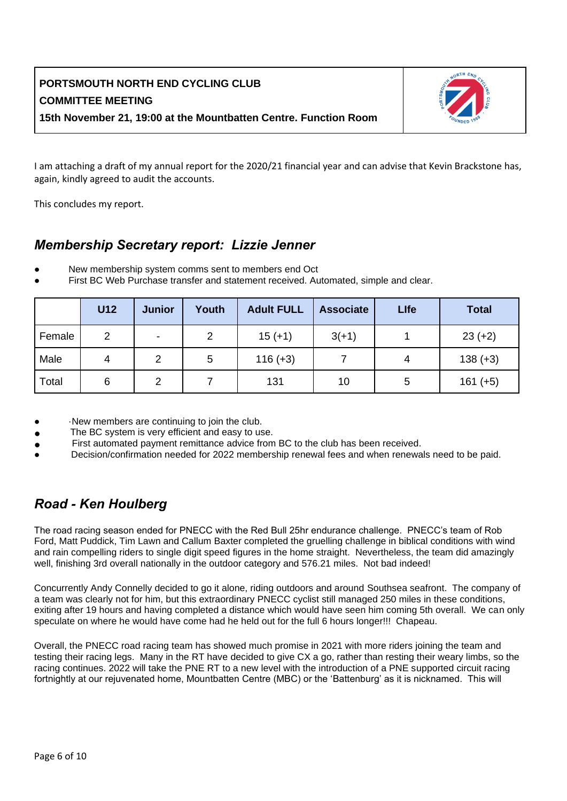

I am attaching a draft of my annual report for the 2020/21 financial year and can advise that Kevin Brackstone has, again, kindly agreed to audit the accounts.

This concludes my report.

### *Membership Secretary report: Lizzie Jenner*

- New membership system comms sent to members end Oct
- First BC Web Purchase transfer and statement received. Automated, simple and clear.

|        | <b>U12</b> | <b>Junior</b> | Youth | <b>Adult FULL</b> | <b>Associate</b> | <b>Llfe</b> | <b>Total</b> |
|--------|------------|---------------|-------|-------------------|------------------|-------------|--------------|
| Female | 2          | ۰             | 2     | $15 (+1)$         | $3(+1)$          |             | $23 (+2)$    |
| Male   | 4          | 2             | 5     | $116 (+3)$        |                  | 4           | $138 (+3)$   |
| Total  | 6          | 2             |       | 131               | 10               | 5           | $161 (+5)$   |

- ·New members are continuing to join the club.
- The BC system is very efficient and easy to use.
- First automated payment remittance advice from BC to the club has been received.
- Decision/confirmation needed for 2022 membership renewal fees and when renewals need to be paid.

## *Road - Ken Houlberg*

The road racing season ended for PNECC with the Red Bull 25hr endurance challenge. PNECC's team of Rob Ford, Matt Puddick, Tim Lawn and Callum Baxter completed the gruelling challenge in biblical conditions with wind and rain compelling riders to single digit speed figures in the home straight. Nevertheless, the team did amazingly well, finishing 3rd overall nationally in the outdoor category and 576.21 miles. Not bad indeed!

Concurrently Andy Connelly decided to go it alone, riding outdoors and around Southsea seafront. The company of a team was clearly not for him, but this extraordinary PNECC cyclist still managed 250 miles in these conditions, exiting after 19 hours and having completed a distance which would have seen him coming 5th overall. We can only speculate on where he would have come had he held out for the full 6 hours longer!!! Chapeau.

Overall, the PNECC road racing team has showed much promise in 2021 with more riders joining the team and testing their racing legs. Many in the RT have decided to give CX a go, rather than resting their weary limbs, so the racing continues. 2022 will take the PNE RT to a new level with the introduction of a PNE supported circuit racing fortnightly at our rejuvenated home, Mountbatten Centre (MBC) or the 'Battenburg' as it is nicknamed. This will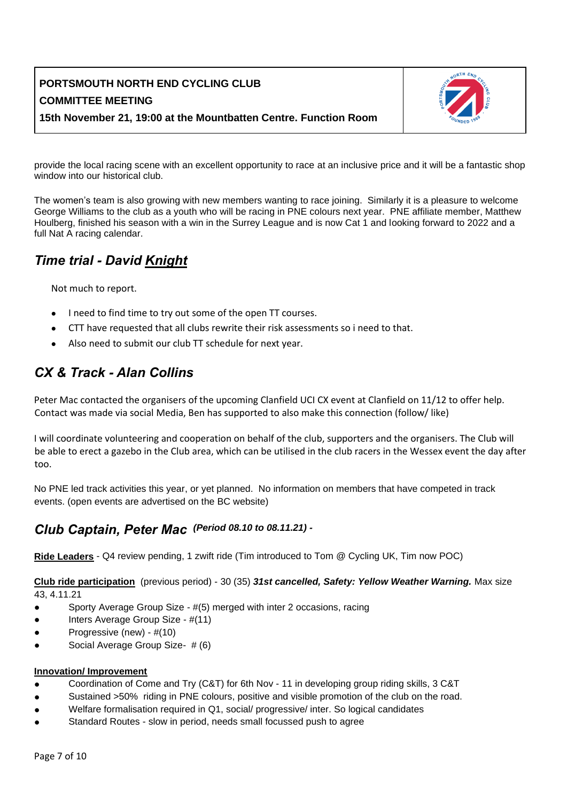

provide the local racing scene with an excellent opportunity to race at an inclusive price and it will be a fantastic shop window into our historical club.

The women's team is also growing with new members wanting to race joining. Similarly it is a pleasure to welcome George Williams to the club as a youth who will be racing in PNE colours next year. PNE affiliate member, Matthew Houlberg, finished his season with a win in the Surrey League and is now Cat 1 and looking forward to 2022 and a full Nat A racing calendar.

## *Time trial - David Knight*

Not much to report.

- I need to find time to try out some of the open TT courses.
- CTT have requested that all clubs rewrite their risk assessments so i need to that.
- Also need to submit our club TT schedule for next year.

## *CX & Track - Alan Collins*

Peter Mac contacted the organisers of the upcoming Clanfield UCI CX event at Clanfield on 11/12 to offer help. Contact was made via social Media, Ben has supported to also make this connection (follow/ like)

I will coordinate volunteering and cooperation on behalf of the club, supporters and the organisers. The Club will be able to erect a gazebo in the Club area, which can be utilised in the club racers in the Wessex event the day after too.

No PNE led track activities this year, or yet planned. No information on members that have competed in track events. (open events are advertised on the BC website)

# *Club Captain, Peter Mac (Period 08.10 to 08.11.21) -*

**Ride Leaders** - Q4 review pending, 1 zwift ride (Tim introduced to Tom @ Cycling UK, Tim now POC)

**Club ride participation** (previous period) - 30 (35) *31st cancelled, Safety: Yellow Weather Warning.* Max size 43, 4.11.21

- Sporty Average Group Size #(5) merged with inter 2 occasions, racing
- Inters Average Group Size #(11)
- Progressive (new) #(10)
- Social Average Group Size- # (6)

#### **Innovation/ Improvement**

- Coordination of Come and Try (C&T) for 6th Nov 11 in developing group riding skills, 3 C&T
- Sustained >50% riding in PNE colours, positive and visible promotion of the club on the road.
- Welfare formalisation required in Q1, social/ progressive/ inter. So logical candidates
- Standard Routes slow in period, needs small focussed push to agree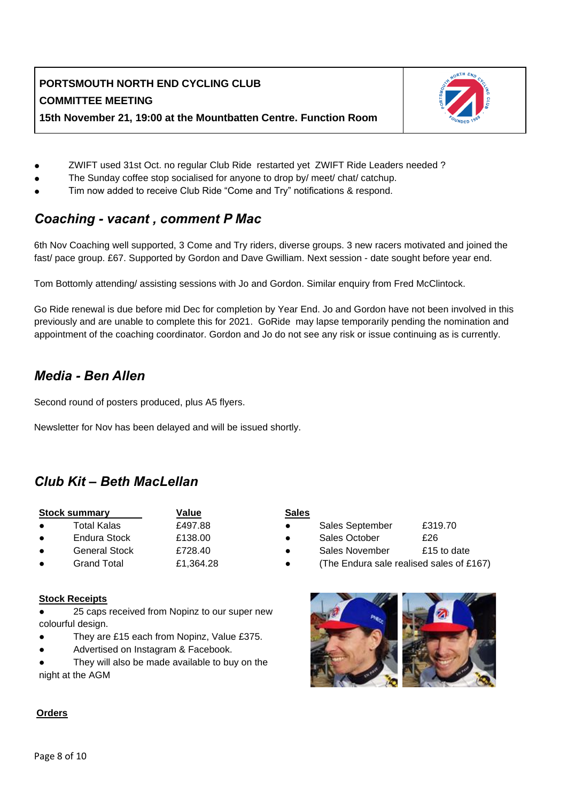

- ZWIFT used 31st Oct. no regular Club Ride restarted yet ZWIFT Ride Leaders needed?
- The Sunday coffee stop socialised for anyone to drop by/ meet/ chat/ catchup.
- Tim now added to receive Club Ride "Come and Try" notifications & respond.

### *Coaching - vacant , comment P Mac*

6th Nov Coaching well supported, 3 Come and Try riders, diverse groups. 3 new racers motivated and joined the fast/ pace group. £67. Supported by Gordon and Dave Gwilliam. Next session - date sought before year end.

Tom Bottomly attending/ assisting sessions with Jo and Gordon. Similar enquiry from Fred McClintock.

Go Ride renewal is due before mid Dec for completion by Year End. Jo and Gordon have not been involved in this previously and are unable to complete this for 2021. GoRide may lapse temporarily pending the nomination and appointment of the coaching coordinator. Gordon and Jo do not see any risk or issue continuing as is currently.

### *Media - Ben Allen*

Second round of posters produced, plus A5 flyers.

Newsletter for Nov has been delayed and will be issued shortly.

## *Club Kit – Beth MacLellan*

| <b>Stock summary</b> | Value     |  |  |
|----------------------|-----------|--|--|
| Total Kalas          | £497.88   |  |  |
| Endura Stock         | £138.00   |  |  |
| <b>General Stock</b> | £728.40   |  |  |
| <b>Grand Total</b>   | £1.364.28 |  |  |

● Grand Total £1,364.28

### **Stock Receipts**

- 25 caps received from Nopinz to our super new colourful design.
- They are £15 each from Nopinz, Value £375.
- Advertised on Instagram & Facebook.

They will also be made available to buy on the night at the AGM

#### **Sales**

- Sales September £319.70
- Sales October  $\overline{526}$
- Sales November £15 to date
- (The Endura sale realised sales of  $£167$ )



#### **Orders**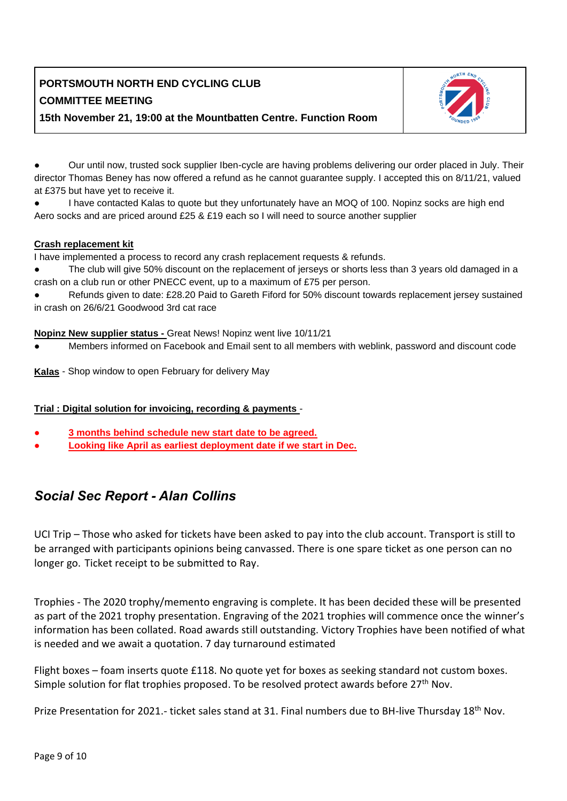

Our until now, trusted sock supplier Iben-cycle are having problems delivering our order placed in July. Their director Thomas Beney has now offered a refund as he cannot guarantee supply. I accepted this on 8/11/21, valued at £375 but have yet to receive it.

I have contacted Kalas to quote but they unfortunately have an MOQ of 100. Nopinz socks are high end Aero socks and are priced around £25 & £19 each so I will need to source another supplier

### **Crash replacement kit**

I have implemented a process to record any crash replacement requests & refunds.

- The club will give 50% discount on the replacement of jerseys or shorts less than 3 years old damaged in a crash on a club run or other PNECC event, up to a maximum of £75 per person.
- Refunds given to date: £28.20 Paid to Gareth Fiford for 50% discount towards replacement jersey sustained in crash on 26/6/21 Goodwood 3rd cat race

### **Nopinz New supplier status -** Great News! Nopinz went live 10/11/21

Members informed on Facebook and Email sent to all members with weblink, password and discount code

**Kalas** - Shop window to open February for delivery May

### **Trial : Digital solution for invoicing, recording & payments** -

- 3 months behind schedule new start date to be agreed.
- **Looking like April as earliest deployment date if we start in Dec.**

## *Social Sec Report - Alan Collins*

UCI Trip – Those who asked for tickets have been asked to pay into the club account. Transport is still to be arranged with participants opinions being canvassed. There is one spare ticket as one person can no longer go. Ticket receipt to be submitted to Ray.

Trophies - The 2020 trophy/memento engraving is complete. It has been decided these will be presented as part of the 2021 trophy presentation. Engraving of the 2021 trophies will commence once the winner's information has been collated. Road awards still outstanding. Victory Trophies have been notified of what is needed and we await a quotation. 7 day turnaround estimated

Flight boxes – foam inserts quote £118. No quote yet for boxes as seeking standard not custom boxes. Simple solution for flat trophies proposed. To be resolved protect awards before  $27<sup>th</sup>$  Nov.

Prize Presentation for 2021.- ticket sales stand at 31. Final numbers due to BH-live Thursday 18<sup>th</sup> Nov.